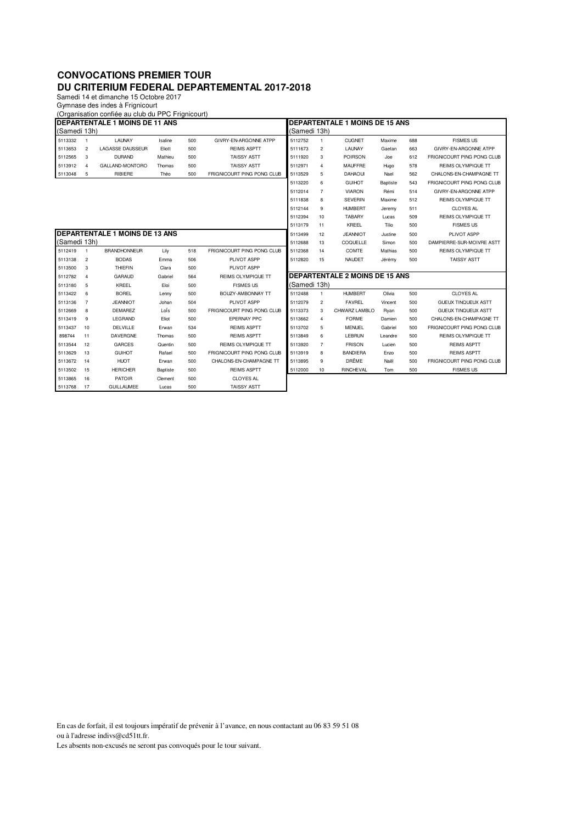## **CONVOCATIONS PREMIER TOUR DU CRITERIUM FEDERAL DEPARTEMENTAL 2017-2018**

Samedi 14 et dimanche 15 Octobre 2017

Gymnase des indes à Frignicourt

| (Organisation confiée au club du PPC Frignicourt) |                                       |                         |                 |     |                            |              |                                       |                                       |                 |                           |                            |  |
|---------------------------------------------------|---------------------------------------|-------------------------|-----------------|-----|----------------------------|--------------|---------------------------------------|---------------------------------------|-----------------|---------------------------|----------------------------|--|
| <b>DEPARTENTALE 1 MOINS DE 11 ANS</b>             |                                       |                         |                 |     |                            |              | <b>DEPARTENTALE 1 MOINS DE 15 ANS</b> |                                       |                 |                           |                            |  |
| (Samedi 13h)                                      |                                       |                         |                 |     |                            | (Samedi 13h) |                                       |                                       |                 |                           |                            |  |
| 5113332                                           | $\overline{1}$                        | LAUNAY                  | Isaline         | 500 | GIVRY-EN-ARGONNE ATPP      | 5112752      | 1                                     | <b>CUGNET</b>                         | Maxime          | 688                       | <b>FISMES US</b>           |  |
| 5113653                                           | $\overline{c}$                        | <b>LAGASSE DAUSSEUR</b> | Eliott          | 500 | <b>REIMS ASPTT</b>         | 5111673      | $\overline{c}$                        | LAUNAY                                | Gaetan          | 663                       | GIVRY-EN-ARGONNE ATPP      |  |
| 5112565                                           | 3                                     | <b>DURAND</b>           | Mathieu         | 500 | <b>TAISSY ASTT</b>         | 5111920      | 3                                     | <b>POIRSON</b>                        | Joe             | 612                       | FRIGNICOURT PING PONG CLUB |  |
| 5113912                                           | $\overline{4}$                        | GALLAND-MONTORO         | Thomas          | 500 | <b>TAISSY ASTT</b>         | 5112971      | 4                                     | <b>MAUFFRE</b>                        | Hugo            | 578                       | <b>REIMS OLYMPIQUE TT</b>  |  |
| 5113048                                           | 5                                     | RIBIERE                 | Théo            | 500 | FRIGNICOURT PING PONG CLUB | 5113529      | 5                                     | <b>DAHAOUI</b>                        | Nael            | 562                       | CHALONS-EN-CHAMPAGNE TT    |  |
|                                                   |                                       |                         |                 |     |                            | 5113220      | 6                                     | <b>GUIHOT</b>                         | <b>Baptiste</b> | 543                       | FRIGNICOURT PING PONG CLUB |  |
|                                                   |                                       |                         |                 |     |                            | 5112014      | $\overline{7}$                        | <b>VIARON</b>                         | Rémi            | 514                       | GIVRY-FN-ARGONNE ATPP      |  |
|                                                   |                                       |                         |                 |     |                            | 5111838      | 8                                     | <b>SEVERIN</b>                        | Maxime          | 512                       | <b>REIMS OLYMPIQUE TT</b>  |  |
|                                                   |                                       |                         |                 |     |                            | 5112144      | 9                                     | <b>HUMBERT</b>                        | Jeremy          | 511                       | <b>CLOYES AL</b>           |  |
|                                                   |                                       |                         |                 |     |                            | 5112394      | 10                                    | <b>TABARY</b>                         | Lucas           | 509                       | <b>REIMS OLYMPIQUE TT</b>  |  |
|                                                   |                                       |                         |                 |     |                            | 5113179      | 11                                    | KREEL                                 | Tilio           | 500                       | <b>FISMES US</b>           |  |
|                                                   | <b>DEPARTENTALE 1 MOINS DE 13 ANS</b> |                         |                 |     |                            |              | 12                                    | <b>JEANNIOT</b>                       | Justine         | 500                       | PLIVOT ASPP                |  |
| (Samedi 13h)                                      |                                       |                         |                 |     | 5112688                    | 13           | COQUELLE                              | Simon                                 | 500             | DAMPIERRE-SUR-MOIVRE ASTT |                            |  |
| 5112419                                           | $\overline{1}$                        | <b>BRANDHONNEUR</b>     | Lily            | 518 | FRIGNICOURT PING PONG CLUB | 5112368      | 14                                    | COMTE                                 | Mathias         | 500                       | <b>REIMS OLYMPIQUE TT</b>  |  |
| 5113138                                           | $\overline{c}$                        | <b>BODAS</b>            | Emma            | 506 | PLIVOT ASPP                | 5112820      | 15                                    | <b>NAUDET</b>                         | Jérémy          | 500                       | <b>TAISSY ASTT</b>         |  |
| 5113500                                           | 3                                     | <b>THIEFIN</b>          | Clara           | 500 | PLIVOT ASPP                |              |                                       |                                       |                 |                           |                            |  |
| 5112782                                           | $\overline{4}$                        | <b>GARAUD</b>           | Gabriel         | 564 | <b>REIMS OLYMPIQUE TT</b>  |              |                                       | <b>DEPARTENTALE 2 MOINS DE 15 ANS</b> |                 |                           |                            |  |
| 5113180                                           | 5                                     | <b>KRFFL</b>            | Eloi            | 500 | <b>FISMES US</b>           | (Samedi 13h) |                                       |                                       |                 |                           |                            |  |
| 5113422                                           | 6                                     | <b>BOREL</b>            | Lenny           | 500 | BOUZY-AMBONNAY TT          | 5112488      | 1                                     | <b>HUMBERT</b>                        | Olivia          | 500                       | <b>CLOYES AL</b>           |  |
| 5113136                                           | $\overline{7}$                        | <b>JEANNIOT</b>         | Johan           | 504 | PLIVOT ASPP                | 5112079      | 2                                     | <b>FAVREL</b>                         | Vincent         | 500                       | <b>GUEUX TINQUEUX ASTT</b> |  |
| 5112669                                           | 8                                     | <b>DEMAREZ</b>          | LoÏs            | 500 | FRIGNICOURT PING PONG CLUB | 5113373      | 3                                     | CHWARZ LAMBLO                         | Ryan            | 500                       | <b>GUEUX TINQUEUX ASTT</b> |  |
| 5113419                                           | 9                                     | LEGRAND                 | Eliot           | 500 | EPERNAY PPC                | 5113662      | 4                                     | <b>FORME</b>                          | Damien          | 500                       | CHALONS-EN-CHAMPAGNE TT    |  |
| 5113437                                           | 10                                    | DELVILLE                | Erwan           | 534 | <b>REIMS ASPTT</b>         | 5113702      | 5                                     | <b>MENUEL</b>                         | Gabriel         | 500                       | FRIGNICOURT PING PONG CLUB |  |
| 898744                                            | 11                                    | DAVERGNE                | Thomas          | 500 | <b>REIMS ASPTT</b>         | 5113849      | 6                                     | LEBRUN                                | Leandre         | 500                       | REIMS OLYMPIQUE TT         |  |
| 5113544                                           | 12                                    | <b>GARCES</b>           | Quentin         | 500 | <b>REIMS OLYMPIQUE TT</b>  | 5113920      | 7                                     | <b>FRISON</b>                         | Lucien          | 500                       | <b>REIMS ASPTT</b>         |  |
| 5113629                                           | 13                                    | <b>GUIHOT</b>           | Rafael          | 500 | FRIGNICOURT PING PONG CLUB | 5113919      | 8                                     | <b>BANDIERA</b>                       | Enzo            | 500                       | <b>REIMS ASPTT</b>         |  |
| 5113672                                           | 14                                    | <b>HUOT</b>             | Erwan           | 500 | CHALONS-EN-CHAMPAGNE TT    | 5113895      | 9                                     | DRÊME                                 | Naël            | 500                       | FRIGNICOURT PING PONG CLUB |  |
| 5113502                                           | 15                                    | <b>HERICHER</b>         | <b>Baptiste</b> | 500 | <b>REIMS ASPTT</b>         | 5112000      | 10                                    | RINCHEVAL                             | Tom             | 500                       | <b>FISMES US</b>           |  |
| 5113865                                           | 16                                    | <b>PATOIR</b>           | Clement         | 500 | <b>CLOYES AL</b>           |              |                                       |                                       |                 |                           |                            |  |
| 5113768                                           | 17                                    | <b>GUILLAUMEE</b>       | Lucas           | 500 | <b>TAISSY ASTT</b>         |              |                                       |                                       |                 |                           |                            |  |

En cas de forfait, il est toujours impératif de prévenir à l'avance, en nous contactant au 06 83 59 51 08 ou à l'adresse indivs@cd51tt.fr. Les absents non-excusés ne seront pas convoqués pour le tour suivant.